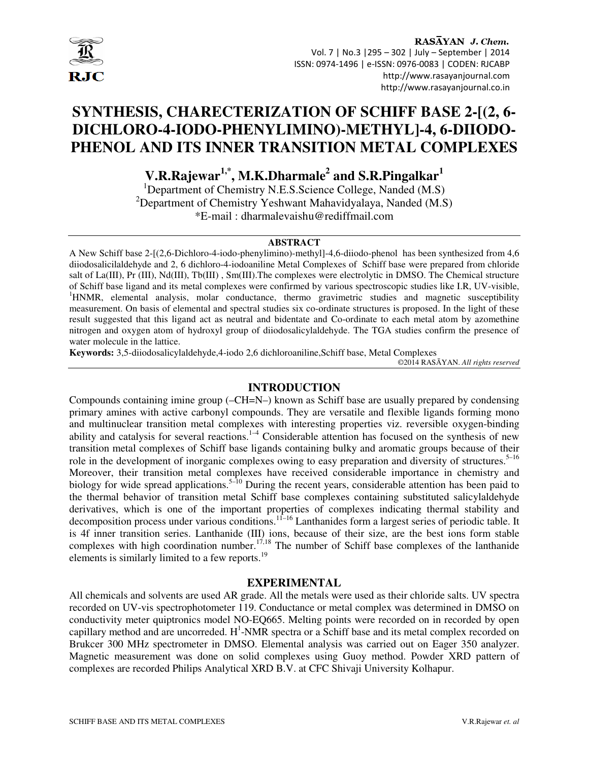

# **SYNTHESIS, CHARECTERIZATION OF SCHIFF BASE 2-[(2, 6- DICHLORO-4-IODO-PHENYLIMINO)-METHYL]-4, 6-DIIODO-PHENOL AND ITS INNER TRANSITION METAL COMPLEXES**

**V.R.Rajewar1,\*, M.K.Dharmale<sup>2</sup> and S.R.Pingalkar<sup>1</sup>**

<sup>1</sup>Department of Chemistry N.E.S.Science College, Nanded (M.S) <sup>2</sup>Department of Chemistry Yeshwant Mahavidyalaya, Nanded (M.S) \*E-mail : dharmalevaishu@rediffmail.com

#### **ABSTRACT**

A New Schiff base 2-[(2,6-Dichloro-4-iodo-phenylimino)-methyl]-4,6-diiodo-phenolhas been synthesized from 4,6 diiodosalicilaldehyde and 2, 6 dichloro-4-iodoaniline Metal Complexes of Schiff base were prepared from chloride salt of La(III), Pr (III), Nd(III), Tb(III), Sm(III). The complexes were electrolytic in DMSO. The Chemical structure of Schiff base ligand and its metal complexes were confirmed by various spectroscopic studies like I.R, UV-visible, <sup>1</sup>HNMR, elemental analysis, molar conductance, thermo gravimetric studies and magnetic susceptibility measurement. On basis of elemental and spectral studies six co-ordinate structures is proposed. In the light of these result suggested that this ligand act as neutral and bidentate and Co-ordinate to each metal atom by azomethine nitrogen and oxygen atom of hydroxyl group of diiodosalicylaldehyde. The TGA studies confirm the presence of water molecule in the lattice.

**Keywords:** 3,5-diiodosalicylaldehyde,4-iodo 2,6 dichloroaniline,Schiff base, Metal Complexes

©2014 RASĀYAN. *All rights reserved*

#### **INTRODUCTION**

Compounds containing imine group (–CH=N–) known as Schiff base are usually prepared by condensing primary amines with active carbonyl compounds. They are versatile and flexible ligands forming mono and multinuclear transition metal complexes with interesting properties viz. reversible oxygen-binding ability and catalysis for several reactions.<sup>1–4</sup> Considerable attention has focused on the synthesis of new transition metal complexes of Schiff base ligands containing bulky and aromatic groups because of their role in the development of inorganic complexes owing to easy preparation and diversity of structures.<sup>5–16</sup> Moreover, their transition metal complexes have received considerable importance in chemistry and biology for wide spread applications.<sup>5–10</sup> During the recent years, considerable attention has been paid to the thermal behavior of transition metal Schiff base complexes containing substituted salicylaldehyde derivatives, which is one of the important properties of complexes indicating thermal stability and decomposition process under various conditions.<sup>11–16</sup> Lanthanides form a largest series of periodic table. It is 4f inner transition series. Lanthanide (III) ions, because of their size, are the best ions form stable complexes with high coordination number.<sup>17,18</sup> The number of Schiff base complexes of the lanthanide elements is similarly limited to a few reports.<sup>19</sup>

#### **EXPERIMENTAL**

All chemicals and solvents are used AR grade. All the metals were used as their chloride salts. UV spectra recorded on UV-vis spectrophotometer 119. Conductance or metal complex was determined in DMSO on conductivity meter quiptronics model NO-EQ665. Melting points were recorded on in recorded by open capillary method and are uncorreded.  $H^1$ -NMR spectra or a Schiff base and its metal complex recorded on Brukcer 300 MHz spectrometer in DMSO. Elemental analysis was carried out on Eager 350 analyzer. Magnetic measurement was done on solid complexes using Guoy method. Powder XRD pattern of complexes are recorded Philips Analytical XRD B.V. at CFC Shivaji University Kolhapur.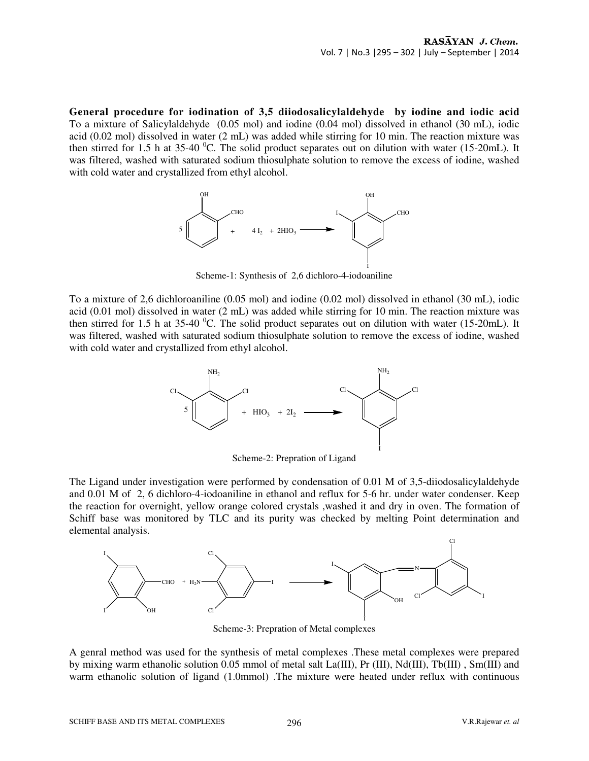**General procedure for iodination of 3,5 diiodosalicylaldehyde by iodine and iodic acid**  To a mixture of Salicylaldehyde(0.05 mol) and iodine (0.04 mol) dissolved in ethanol (30 mL), iodic acid (0.02 mol) dissolved in water (2 mL) was added while stirring for 10 min. The reaction mixture was then stirred for 1.5 h at 35-40  $^{\circ}$ C. The solid product separates out on dilution with water (15-20mL). It was filtered, washed with saturated sodium thiosulphate solution to remove the excess of iodine, washed with cold water and crystallized from ethyl alcohol.



Scheme-1: Synthesis of 2,6 dichloro-4-iodoaniline

To a mixture of 2,6 dichloroaniline (0.05 mol) and iodine (0.02 mol) dissolved in ethanol (30 mL), iodic acid (0.01 mol) dissolved in water (2 mL) was added while stirring for 10 min. The reaction mixture was then stirred for 1.5 h at 35-40  $^{\circ}$ C. The solid product separates out on dilution with water (15-20mL). It was filtered, washed with saturated sodium thiosulphate solution to remove the excess of iodine, washed with cold water and crystallized from ethyl alcohol.



Scheme-2: Prepration of Ligand

The Ligand under investigation were performed by condensation of 0.01 M of 3,5-diiodosalicylaldehyde and 0.01 M of 2, 6 dichloro-4-iodoaniline in ethanol and reflux for 5-6 hr. under water condenser. Keep the reaction for overnight, yellow orange colored crystals ,washed it and dry in oven. The formation of Schiff base was monitored by TLC and its purity was checked by melting Point determination and elemental analysis.



Scheme-3: Prepration of Metal complexes

A genral method was used for the synthesis of metal complexes .These metal complexes were prepared by mixing warm ethanolic solution 0.05 mmol of metal salt La(III), Pr (III), Nd(III), Tb(III) , Sm(III) and warm ethanolic solution of ligand (1.0mmol) .The mixture were heated under reflux with continuous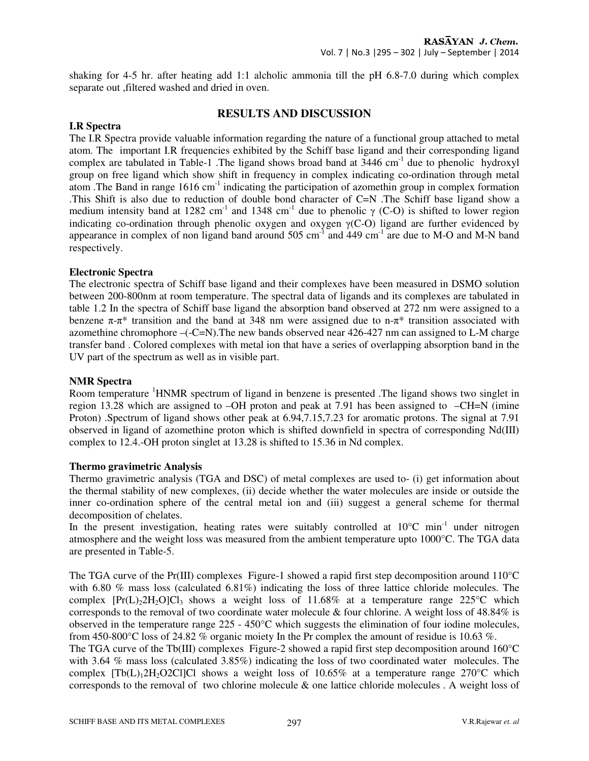shaking for 4-5 hr. after heating add 1:1 alcholic ammonia till the pH 6.8-7.0 during which complex separate out ,filtered washed and dried in oven.

# **RESULTS AND DISCUSSION**

# **I.R Spectra**

The I.R Spectra provide valuable information regarding the nature of a functional group attached to metal atom. The important I.R frequencies exhibited by the Schiff base ligand and their corresponding ligand complex are tabulated in Table-1. The ligand shows broad band at  $3446 \text{ cm}^{-1}$  due to phenolic hydroxyl group on free ligand which show shift in frequency in complex indicating co-ordination through metal atom .The Band in range 1616 cm-1 indicating the participation of azomethin group in complex formation .This Shift is also due to reduction of double bond character of C=N .The Schiff base ligand show a medium intensity band at 1282 cm<sup>-1</sup> and 1348 cm<sup>-1</sup> due to phenolic  $\gamma$  (C-O) is shifted to lower region indicating co-ordination through phenolic oxygen and oxygen  $\gamma(C-O)$  ligand are further evidenced by appearance in complex of non ligand band around  $505 \text{ cm}^{-1}$  and  $449 \text{ cm}^{-1}$  are due to M-O and M-N band respectively.

#### **Electronic Spectra**

The electronic spectra of Schiff base ligand and their complexes have been measured in DSMO solution between 200-800nm at room temperature. The spectral data of ligands and its complexes are tabulated in table 1.2 In the spectra of Schiff base ligand the absorption band observed at 272 nm were assigned to a benzene  $\pi$ - $\pi$ <sup>\*</sup> transition and the band at 348 nm were assigned due to n- $\pi$ <sup>\*</sup> transition associated with azomethine chromophore –(-C=N).The new bands observed near 426-427 nm can assigned to L-M charge transfer band . Colored complexes with metal ion that have a series of overlapping absorption band in the UV part of the spectrum as well as in visible part.

#### **NMR Spectra**

Room temperature <sup>1</sup>HNMR spectrum of ligand in benzene is presented. The ligand shows two singlet in region 13.28 which are assigned to –OH proton and peak at 7.91 has been assigned to –CH=N (imine Proton) .Spectrum of ligand shows other peak at 6.94,7.15,7.23 for aromatic protons. The signal at 7.91 observed in ligand of azomethine proton which is shifted downfield in spectra of corresponding Nd(III) complex to 12.4.-OH proton singlet at 13.28 is shifted to 15.36 in Nd complex.

#### **Thermo gravimetric Analysis**

Thermo gravimetric analysis (TGA and DSC) of metal complexes are used to- (i) get information about the thermal stability of new complexes, (ii) decide whether the water molecules are inside or outside the inner co-ordination sphere of the central metal ion and (iii) suggest a general scheme for thermal decomposition of chelates.

In the present investigation, heating rates were suitably controlled at  $10^{\circ}$ C min<sup>-1</sup> under nitrogen atmosphere and the weight loss was measured from the ambient temperature upto 1000°C. The TGA data are presented in Table-5.

The TGA curve of the Pr(III) complexes Figure-1 showed a rapid first step decomposition around 110°C with 6.80 % mass loss (calculated 6.81%) indicating the loss of three lattice chloride molecules. The complex  $[Pr(L)_2 2H_2 O]Cl_3$  shows a weight loss of 11.68% at a temperature range 225 °C which corresponds to the removal of two coordinate water molecule & four chlorine. A weight loss of 48.84% is observed in the temperature range 225 - 450°C which suggests the elimination of four iodine molecules, from 450-800°C loss of 24.82 % organic moiety In the Pr complex the amount of residue is 10.63 %.

The TGA curve of the Tb(III) complexes Figure-2 showed a rapid first step decomposition around 160<sup>o</sup>C with 3.64 % mass loss (calculated 3.85%) indicating the loss of two coordinated water molecules. The complex  $[Tb(L)<sub>1</sub>2H<sub>2</sub>O2Cl]Cl$  shows a weight loss of 10.65% at a temperature range 270°C which corresponds to the removal of two chlorine molecule & one lattice chloride molecules . A weight loss of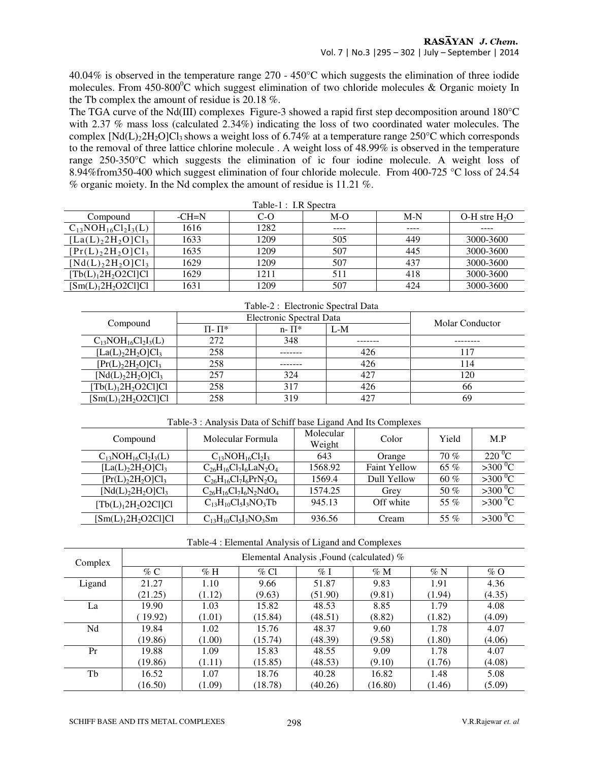$40.04\%$  is observed in the temperature range 270 - 450°C which suggests the elimination of three iodide molecules. From 450-800°C which suggest elimination of two chloride molecules & Organic moiety In the Tb complex the amount of residue is 20.18 %.

The TGA curve of the Nd(III) complexes Figure-3 showed a rapid first step decomposition around 180°C with 2.37 % mass loss (calculated 2.34%) indicating the loss of two coordinated water molecules. The complex  $[Nd(L)<sub>2</sub>2H<sub>2</sub>O]Cl<sub>3</sub>$  shows a weight loss of 6.74% at a temperature range 250°C which corresponds to the removal of three lattice chlorine molecule . A weight loss of 48.99% is observed in the temperature range 250-350°C which suggests the elimination of ic four iodine molecule. A weight loss of 8.94%from350-400 which suggest elimination of four chloride molecule. From 400-725 °C loss of 24.54 % organic moiety. In the Nd complex the amount of residue is 11.21 %.

| Table-1 : I.R Spectra      |         |       |       |       |                  |  |
|----------------------------|---------|-------|-------|-------|------------------|--|
| Compound                   | $-CH=N$ | $C-O$ | $M-O$ | $M-N$ | $O-H$ stre $H2O$ |  |
| $C_{13}NOH_{16}Cl_2I_3(L)$ | 1616    | 1282  | ----  | ----  |                  |  |
| $[La(L)22H2O]Cl3$          | 1633    | 1209  | 505   | 449   | 3000-3600        |  |
| $[Pr(L)22H2O]Cl3$          | 1635    | 1209  | 507   | 445   | 3000-3600        |  |
| $[Nd(L)22H2O]Cl3$          | 1629    | 1209  | 507   | 437   | 3000-3600        |  |
| $[Tb(L)12H2O2Cl]Cl$        | 1629    | 1211  | 511   | 418   | 3000-3600        |  |
| $[Sm(L)12H2O2Cl]Cl$        | 1631    | 1209  | 507   | 424   | 3000-3600        |  |

| Table-2: Electronic Spectral Data |                          |                        |       |     |  |
|-----------------------------------|--------------------------|------------------------|-------|-----|--|
|                                   | Electronic Spectral Data | <b>Molar Conductor</b> |       |     |  |
| Compound                          | $\Pi$ - $\Pi^*$          | $n - \prod^*$          | $L-M$ |     |  |
| $C_{13}NOH_{16}Cl_2I_3(L)$        | 272                      | 348                    |       |     |  |
| $[La(L)22H2O]Cl3$                 | 258                      |                        | 426   | 117 |  |
| $[Pr(L)22H2O]Cl3$                 | 258                      |                        | 426   | 114 |  |
| $[Nd(L)22H2O]Cl3$                 | 257                      | 324                    | 427   | 120 |  |
| $[Tb(L)12H2O2Cl]Cl$               | 258                      | 317                    | 426   | 66  |  |
| $[Sm(L)12H2O2Cl]Cl$               | 258                      | 319                    | 427   | 69  |  |

Table-2 : Electronic Spectral Data

Table-3 : Analysis Data of Schiff base Ligand And Its Complexes

| Compound                   | Molecular Formula             | Molecular<br>Weight | Color               | Yield  | M.P               |
|----------------------------|-------------------------------|---------------------|---------------------|--------|-------------------|
| $C_{13}NOH_{16}Cl_2I_3(L)$ | $C_{13}NOH_{16}Cl_2I_3$       | 643                 | Orange              | 70%    | 220 °C            |
| $[La(L)22H2O]Cl3$          | $C_{26}H_{16}Cl_7I_6LaN_2O_4$ | 1568.92             | <b>Faint Yellow</b> | 65 %   | $>300\,^0C$       |
| $[Pr(L)22H2O]Cl3$          | $C_{26}H_{16}Cl_7I_6PrN_2O_4$ | 1569.4              | Dull Yellow         | $60\%$ | $>300\,^{\circ}C$ |
| $[Nd(L)22H2O]Cl3$          | $C_{26}H_{16}Cl_7I_6N_2NdO_4$ | 1574.25             | Grey                | 50 %   | $>300^{\circ}C$   |
| $[Tb(L)12H2O2Cl]Cl$        | $C_{13}H_{10}Cl_5I_3NO_3Tb$   | 945.13              | Off white           | 55 $%$ | $>300\,^0C$       |
| $[Sm(L)12H2O2Cl]Cl$        | $C_{13}H_{10}Cl_5I_3NO_3Sm$   | 936.56              | Cream               | 55 %   | $>300\,^0C$       |

Table-4 : Elemental Analysis of Ligand and Complexes

| Complex | Elemental Analysis , Found (calculated) % |        |         |         |         |        |        |
|---------|-------------------------------------------|--------|---------|---------|---------|--------|--------|
|         | $\%$ C                                    | $\%$ H | $\%$ Cl | $\%$ I  | $\%$ M  | $\%$ N | $\%$ O |
| Ligand  | 21.27                                     | 1.10   | 9.66    | 51.87   | 9.83    | 1.91   | 4.36   |
|         | (21.25)                                   | (1.12) | (9.63)  | (51.90) | (9.81)  | (1.94) | (4.35) |
| La      | 19.90                                     | 1.03   | 15.82   | 48.53   | 8.85    | 1.79   | 4.08   |
|         | 19.92)                                    | (1.01) | (15.84) | (48.51) | (8.82)  | (1.82) | (4.09) |
| Nd      | 19.84                                     | 1.02   | 15.76   | 48.37   | 9.60    | 1.78   | 4.07   |
|         | (19.86)                                   | (1.00) | (15.74) | (48.39) | (9.58)  | (1.80) | (4.06) |
| Pr      | 19.88                                     | 1.09   | 15.83   | 48.55   | 9.09    | 1.78   | 4.07   |
|         | (19.86)                                   | (1.11) | (15.85) | (48.53) | (9.10)  | (1.76) | (4.08) |
| Tb      | 16.52                                     | 1.07   | 18.76   | 40.28   | 16.82   | 1.48   | 5.08   |
|         | (16.50)                                   | (1.09) | (18.78) | (40.26) | (16.80) | (1.46) | (5.09) |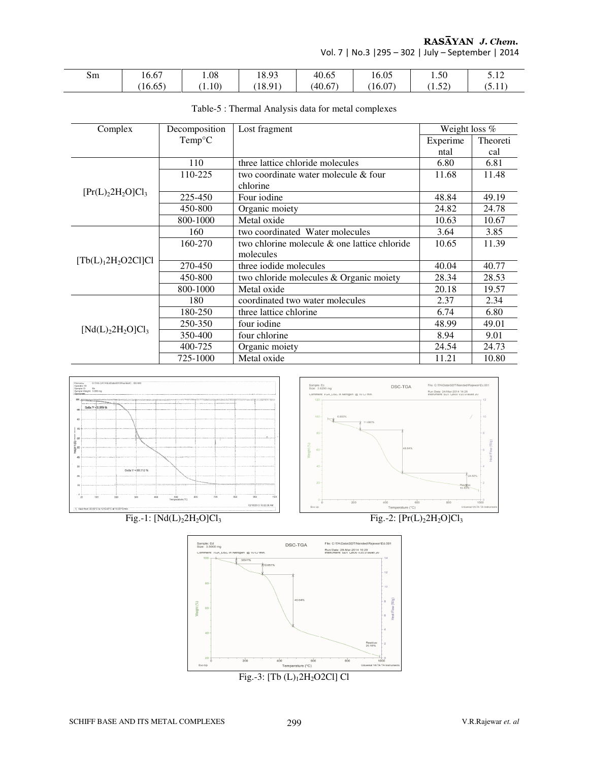RASĀYAN J. Chem.

Vol. 7 | No.3 |295 – 302 | July – September | 2014

| Sm | $\sim$<br>16.67                              | l.08   | 18.93 | 40.65   | 16.05 | $\sim$<br>1.50 | J.IZ |
|----|----------------------------------------------|--------|-------|---------|-------|----------------|------|
|    | $\sim$ $\sim$ $\sim$ $\sim$ $\sim$<br>16.65) | (1.10) | 18.91 | (40.67) | 16.07 | $\sim$<br>1.34 | .    |

| Complex                     | Decomposition   | Lost fragment                                | Weight loss % |          |
|-----------------------------|-----------------|----------------------------------------------|---------------|----------|
|                             | $Temp^{\circ}C$ |                                              | Experime      | Theoreti |
|                             |                 |                                              | ntal          | cal      |
|                             | 110             | three lattice chloride molecules             | 6.80          | 6.81     |
|                             | 110-225         | two coordinate water molecule & four         | 11.68         | 11.48    |
|                             |                 | chlorine                                     |               |          |
| $[Pr(L)22H2O]Cl3$           | 225-450         | Four iodine                                  | 48.84         | 49.19    |
|                             | 450-800         | Organic moiety                               | 24.82         | 24.78    |
|                             | 800-1000        | Metal oxide                                  | 10.63         | 10.67    |
|                             | 160             | two coordinated Water molecules              | 3.64          | 3.85     |
|                             | 160-270         | two chlorine molecule & one lattice chloride | 10.65         | 11.39    |
|                             |                 | molecules                                    |               |          |
| $[Tb(L)12H2O2Cl]Cl$         | 270-450         | three iodide molecules                       | 40.04         | 40.77    |
|                             | 450-800         | two chloride molecules & Organic moiety      | 28.34         | 28.53    |
|                             | 800-1000        | Metal oxide                                  | 20.18         | 19.57    |
|                             | 180             | coordinated two water molecules              | 2.37          | 2.34     |
|                             | 180-250         | three lattice chlorine                       | 6.74          | 6.80     |
|                             | 250-350         | four iodine                                  | 48.99         | 49.01    |
| [Nd(L),2H,O]Cl <sub>3</sub> | 350-400         | four chlorine                                | 8.94          | 9.01     |
|                             | 400-725         | Organic moiety                               | 24.54         | 24.73    |
|                             | 725-1000        | Metal oxide                                  | 11.21         | 10.80    |
|                             |                 |                                              |               |          |

#### Table-5 : Thermal Analysis data for metal complexes



Fig.-1:  $[Nd(L)_2 2H_2 O]Cl_3$  Fig.-2:  $[Pr(L)_2 2H_2 O]Cl_3$ 





SCHIFF BASE AND ITS METAL COMPLEXES 299 V.R.Rajewar *et. al*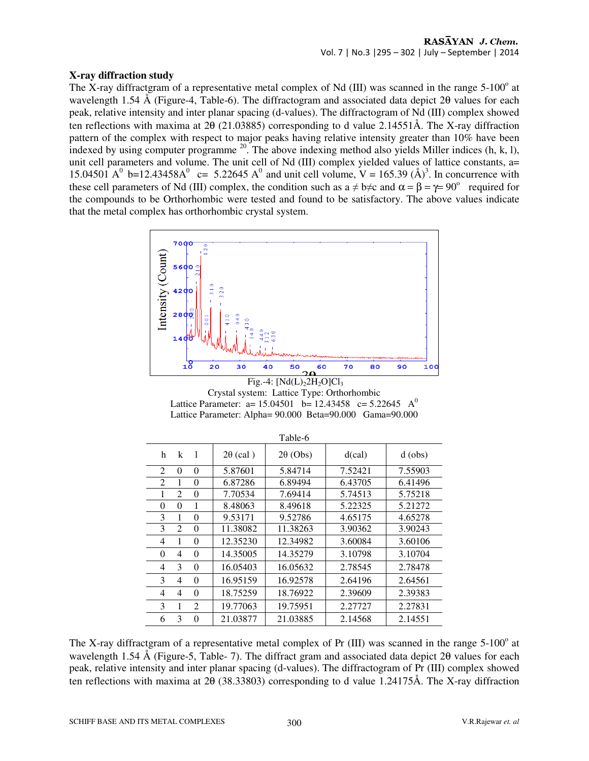## **X-ray diffraction study**

The X-ray diffractgram of a representative metal complex of Nd (III) was scanned in the range  $5{\text -}100^{\circ}$  at wavelength 1.54 Å (Figure-4, Table-6). The diffractogram and associated data depict 2θ values for each peak, relative intensity and inter planar spacing (d-values). The diffractogram of Nd (III) complex showed ten reflections with maxima at 2θ (21.03885) corresponding to d value 2.14551Å. The X-ray diffraction pattern of the complex with respect to major peaks having relative intensity greater than 10% have been indexed by using computer programme  $^{20}$ . The above indexing method also yields Miller indices (h, k, l), unit cell parameters and volume. The unit cell of Nd (III) complex yielded values of lattice constants, a= 15.04501 A<sup>0</sup> b=12.43458A<sup>0</sup> c= 5.22645 A<sup>0</sup> and unit cell volume, V = 165.39 (Å)<sup>3</sup>. In concurrence with these cell parameters of Nd (III) complex, the condition such as  $a \neq b \neq c$  and  $\alpha = \beta = \gamma = 90^{\circ}$  required for the compounds to be Orthorhombic were tested and found to be satisfactory. The above values indicate that the metal complex has orthorhombic crystal system.



Fig.-4:  $[Nd(L)<sub>2</sub>2H<sub>2</sub>O]Cl<sub>3</sub>$ Crystal system: Lattice Type: Orthorhombic Lattice Parameter: a=  $15.04501$  b=  $12.43458$  c=  $5.22645$  A<sup>0</sup> Lattice Parameter: Alpha= 90.000 Beta=90.000 Gama=90.000

|                                        |                 | Table-6         |         |           |
|----------------------------------------|-----------------|-----------------|---------|-----------|
| $\overline{1}$<br>k<br>h               | $2\theta$ (cal) | $2\theta$ (Obs) | d(cal)  | $d$ (obs) |
| 2<br>$\Omega$<br>0                     | 5.87601         | 5.84714         | 7.52421 | 7.55903   |
| 2<br>1<br>0                            | 6.87286         | 6.89494         | 6.43705 | 6.41496   |
| 2<br>1<br>0                            | 7.70534         | 7.69414         | 5.74513 | 5.75218   |
| $\Omega$<br>0<br>1                     | 8.48063         | 8.49618         | 5.22325 | 5.21272   |
| 3<br>1<br>$\theta$                     | 9.53171         | 9.52786         | 4.65175 | 4.65278   |
| 3<br>2<br>0                            | 11.38082        | 11.38263        | 3.90362 | 3.90243   |
| 1<br>4<br>0                            | 12.35230        | 12.34982        | 3.60084 | 3.60106   |
| $\theta$<br>$\overline{4}$<br>$\Omega$ | 14.35005        | 14.35279        | 3.10798 | 3.10704   |
| 3<br>$\Omega$<br>4                     | 16.05403        | 16.05632        | 2.78545 | 2.78478   |
| 3<br>4<br>$\Omega$                     | 16.95159        | 16.92578        | 2.64196 | 2.64561   |
| 4<br>0<br>4                            | 18.75259        | 18.76922        | 2.39609 | 2.39383   |
| 3<br>$\mathfrak{D}$<br>1               | 19.77063        | 19.75951        | 2.27727 | 2.27831   |
| 3<br>6<br>0                            | 21.03877        | 21.03885        | 2.14568 | 2.14551   |

The X-ray diffractgram of a representative metal complex of Pr  $(III)$  was scanned in the range 5-100 $^{\circ}$  at wavelength 1.54 Å (Figure-5, Table- 7). The diffract gram and associated data depict 2θ values for each peak, relative intensity and inter planar spacing (d-values). The diffractogram of Pr (III) complex showed ten reflections with maxima at 2θ (38.33803) corresponding to d value 1.24175Å. The X-ray diffraction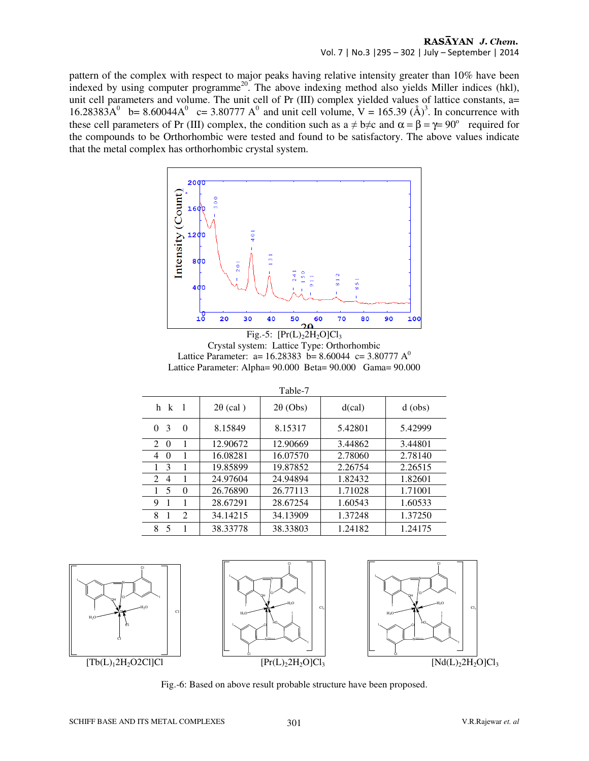pattern of the complex with respect to major peaks having relative intensity greater than 10% have been indexed by using computer programme<sup>20</sup>. The above indexing method also yields Miller indices (hkl), unit cell parameters and volume. The unit cell of Pr (III) complex yielded values of lattice constants, a= 16.28383A<sup>0</sup> b= 8.60044A<sup>0</sup> c= 3.80777 A<sup>0</sup> and unit cell volume, V = 165.39 (Å)<sup>3</sup>. In concurrence with these cell parameters of Pr (III) complex, the condition such as  $a \neq b \neq c$  and  $\alpha = \beta = \gamma = 90^{\circ}$  required for the compounds to be Orthorhombic were tested and found to be satisfactory. The above values indicate that the metal complex has orthorhombic crystal system.



Crystal system: Lattice Type: Orthorhombic Lattice Parameter: a= 16.28383 b= 8.60044 c= 3.80777 A<sup>0</sup> Lattice Parameter: Alpha= 90.000 Beta= 90.000 Gama= 90.000

|                              |                 | $1 \text{a}$ U $1 \text{c}$ |         |           |
|------------------------------|-----------------|-----------------------------|---------|-----------|
| $h \ k$ 1                    | $2\theta$ (cal) | $2\theta$ (Obs)             | d(cal)  | $d$ (obs) |
| 3<br>$\Omega$<br>0           | 8.15849         | 8.15317                     | 5.42801 | 5.42999   |
| 2<br>$\Omega$                | 12.90672        | 12.90669                    | 3.44862 | 3.44801   |
| 4<br>$\Omega$                | 16.08281        | 16.07570                    | 2.78060 | 2.78140   |
| 3                            | 19.85899        | 19.87852                    | 2.26754 | 2.26515   |
| $\mathfrak{D}$<br>4          | 24.97604        | 24.94894                    | 1.82432 | 1.82601   |
| 5<br>$\Omega$                | 26.76890        | 26.77113                    | 1.71028 | 1.71001   |
| 9                            | 28.67291        | 28.67254                    | 1.60543 | 1.60533   |
| 2<br>8                       | 34.14215        | 34.13909                    | 1.37248 | 1.37250   |
| $\overline{\mathbf{5}}$<br>8 | 38.33778        | 38.33803                    | 1.24182 | 1.24175   |









Fig.-6: Based on above result probable structure have been proposed.